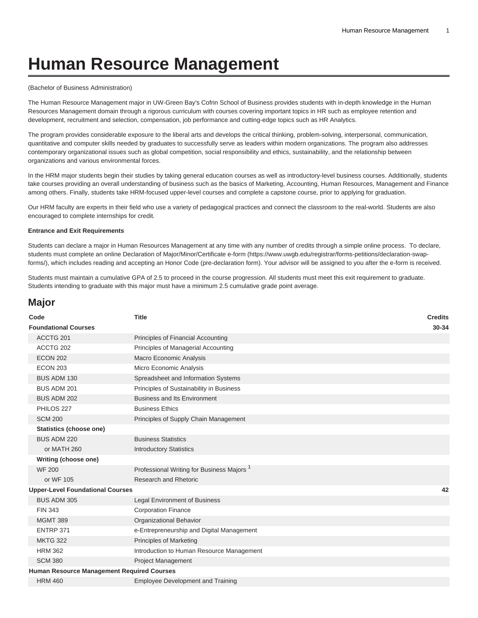# **Human Resource Management**

#### (Bachelor of Business Administration)

The Human Resource Management major in UW-Green Bay's Cofrin School of Business provides students with in-depth knowledge in the Human Resources Management domain through a rigorous curriculum with courses covering important topics in HR such as employee retention and development, recruitment and selection, compensation, job performance and cutting-edge topics such as HR Analytics.

The program provides considerable exposure to the liberal arts and develops the critical thinking, problem-solving, interpersonal, communication, quantitative and computer skills needed by graduates to successfully serve as leaders within modern organizations. The program also addresses contemporary organizational issues such as global competition, social responsibility and ethics, sustainability, and the relationship between organizations and various environmental forces.

In the HRM major students begin their studies by taking general education courses as well as introductory-level business courses. Additionally, students take courses providing an overall understanding of business such as the basics of Marketing, Accounting, Human Resources, Management and Finance among others. Finally, students take HRM-focused upper-level courses and complete a capstone course, prior to applying for graduation.

Our HRM faculty are experts in their field who use a variety of pedagogical practices and connect the classroom to the real-world. Students are also encouraged to complete internships for credit.

#### **Entrance and Exit Requirements**

Students can declare a major in Human Resources Management at any time with any number of credits through a simple online process. To declare, students must complete an online [Declaration of Major/Minor/Certificate e-form](https://www.uwgb.edu/registrar/forms-petitions/declaration-swap-forms/) ([https://www.uwgb.edu/registrar/forms-petitions/declaration-swap](https://www.uwgb.edu/registrar/forms-petitions/declaration-swap-forms/)[forms/](https://www.uwgb.edu/registrar/forms-petitions/declaration-swap-forms/)), which includes reading and accepting an Honor Code (pre-declaration form). Your advisor will be assigned to you after the e-form is received.

Students must maintain a cumulative GPA of 2.5 to proceed in the course progression. All students must meet this exit requirement to graduate. Students intending to graduate with this major must have a minimum 2.5 cumulative grade point average.

## **Major**

| Code                                              | <b>Title</b>                                          | <b>Credits</b> |
|---------------------------------------------------|-------------------------------------------------------|----------------|
| <b>Foundational Courses</b>                       |                                                       | 30-34          |
| ACCTG 201                                         | Principles of Financial Accounting                    |                |
| ACCTG 202                                         | Principles of Managerial Accounting                   |                |
| <b>ECON 202</b>                                   | <b>Macro Economic Analysis</b>                        |                |
| <b>ECON 203</b>                                   | Micro Economic Analysis                               |                |
| <b>BUS ADM 130</b>                                | Spreadsheet and Information Systems                   |                |
| BUS ADM 201                                       | Principles of Sustainability in Business              |                |
| BUS ADM 202                                       | <b>Business and Its Environment</b>                   |                |
| PHILOS 227                                        | <b>Business Ethics</b>                                |                |
| <b>SCM 200</b>                                    | Principles of Supply Chain Management                 |                |
| Statistics (choose one)                           |                                                       |                |
| BUS ADM 220                                       | <b>Business Statistics</b>                            |                |
| or MATH 260                                       | <b>Introductory Statistics</b>                        |                |
| Writing (choose one)                              |                                                       |                |
| <b>WF 200</b>                                     | Professional Writing for Business Majors <sup>1</sup> |                |
| or WF 105                                         | Research and Rhetoric                                 |                |
| <b>Upper-Level Foundational Courses</b>           |                                                       | 42             |
| BUS ADM 305                                       | <b>Legal Environment of Business</b>                  |                |
| <b>FIN 343</b>                                    | <b>Corporation Finance</b>                            |                |
| <b>MGMT 389</b>                                   | Organizational Behavior                               |                |
| ENTRP 371                                         | e-Entrepreneurship and Digital Management             |                |
| <b>MKTG 322</b>                                   | <b>Principles of Marketing</b>                        |                |
| <b>HRM 362</b>                                    | Introduction to Human Resource Management             |                |
| <b>SCM 380</b>                                    | <b>Project Management</b>                             |                |
| <b>Human Resource Management Required Courses</b> |                                                       |                |
| <b>HRM 460</b>                                    | <b>Employee Development and Training</b>              |                |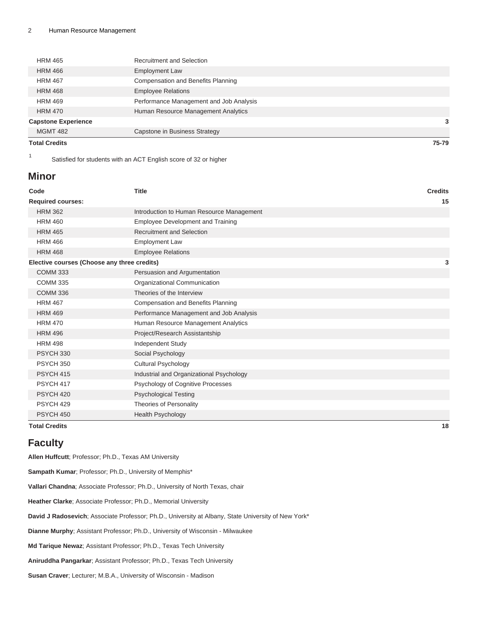| <b>Total Credits</b>       |                                         | 75-79 |
|----------------------------|-----------------------------------------|-------|
| <b>MGMT 482</b>            | Capstone in Business Strategy           |       |
| <b>Capstone Experience</b> |                                         | 3     |
| <b>HRM 470</b>             | Human Resource Management Analytics     |       |
| <b>HRM 469</b>             | Performance Management and Job Analysis |       |
| <b>HRM 468</b>             | <b>Employee Relations</b>               |       |
| <b>HRM 467</b>             | Compensation and Benefits Planning      |       |
| <b>HRM 466</b>             | <b>Employment Law</b>                   |       |
| <b>HRM 465</b>             | <b>Recruitment and Selection</b>        |       |

1 Satisfied for students with an ACT English score of 32 or higher

### **Minor**

| Code                                        | <b>Title</b>                              | <b>Credits</b> |
|---------------------------------------------|-------------------------------------------|----------------|
| <b>Required courses:</b>                    |                                           | 15             |
| <b>HRM 362</b>                              | Introduction to Human Resource Management |                |
| <b>HRM 460</b>                              | <b>Employee Development and Training</b>  |                |
| <b>HRM 465</b>                              | <b>Recruitment and Selection</b>          |                |
| <b>HRM 466</b>                              | <b>Employment Law</b>                     |                |
| <b>HRM 468</b>                              | <b>Employee Relations</b>                 |                |
| Elective courses (Choose any three credits) |                                           | 3              |
| <b>COMM 333</b>                             | Persuasion and Argumentation              |                |
| <b>COMM 335</b>                             | Organizational Communication              |                |
| <b>COMM 336</b>                             | Theories of the Interview                 |                |
| <b>HRM 467</b>                              | Compensation and Benefits Planning        |                |
| <b>HRM 469</b>                              | Performance Management and Job Analysis   |                |
| <b>HRM 470</b>                              | Human Resource Management Analytics       |                |
| <b>HRM 496</b>                              | Project/Research Assistantship            |                |
| <b>HRM 498</b>                              | Independent Study                         |                |
| PSYCH 330                                   | Social Psychology                         |                |
| <b>PSYCH 350</b>                            | <b>Cultural Psychology</b>                |                |
| PSYCH 415                                   | Industrial and Organizational Psychology  |                |
| PSYCH 417                                   | Psychology of Cognitive Processes         |                |
| PSYCH <sub>420</sub>                        | <b>Psychological Testing</b>              |                |
| PSYCH <sub>429</sub>                        | <b>Theories of Personality</b>            |                |
| PSYCH 450                                   | Health Psychology                         |                |
| <b>Total Credits</b>                        |                                           | 18             |

## **Faculty**

**Allen Huffcutt**; Professor; Ph.D., Texas AM University **Sampath Kumar**; Professor; Ph.D., University of Memphis\* **Vallari Chandna**; Associate Professor; Ph.D., University of North Texas, chair **Heather Clarke**; Associate Professor; Ph.D., Memorial University **David J Radosevich**; Associate Professor; Ph.D., University at Albany, State University of New York\* **Dianne Murphy**; Assistant Professor; Ph.D., University of Wisconsin - Milwaukee **Md Tarique Newaz**; Assistant Professor; Ph.D., Texas Tech University **Aniruddha Pangarkar**; Assistant Professor; Ph.D., Texas Tech University **Susan Craver**; Lecturer; M.B.A., University of Wisconsin - Madison